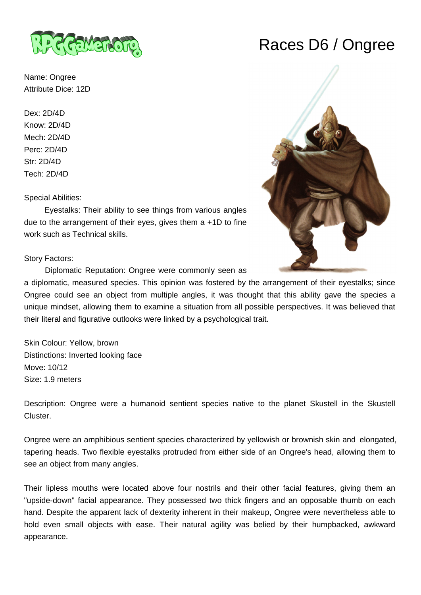

Name: Ongree Attribute Dice: 12D

Dex: 2D/4D Know: 2D/4D Mech: 2D/4D Perc: 2D/4D Str: 2D/4D Tech: 2D/4D

Special Abilities:

 Eyestalks: Their ability to see things from various angles due to the arrangement of their eyes, gives them a +1D to fine work such as Technical skills.

Story Factors:

Diplomatic Reputation: Ongree were commonly seen as

a diplomatic, measured species. This opinion was fostered by the arrangement of their eyestalks; since Ongree could see an object from multiple angles, it was thought that this ability gave the species a unique mindset, allowing them to examine a situation from all possible perspectives. It was believed that their literal and figurative outlooks were linked by a psychological trait.

Skin Colour: Yellow, brown Distinctions: Inverted looking face Move: 10/12 Size: 1.9 meters

Description: Ongree were a humanoid sentient species native to the planet Skustell in the Skustell Cluster.

Ongree were an amphibious sentient species characterized by yellowish or brownish skin and elongated, tapering heads. Two flexible eyestalks protruded from either side of an Ongree's head, allowing them to see an object from many angles.

Their lipless mouths were located above four nostrils and their other facial features, giving them an "upside-down" facial appearance. They possessed two thick fingers and an opposable thumb on each hand. Despite the apparent lack of dexterity inherent in their makeup, Ongree were nevertheless able to hold even small objects with ease. Their natural agility was belied by their humpbacked, awkward appearance.

## Races D6 / Ongree